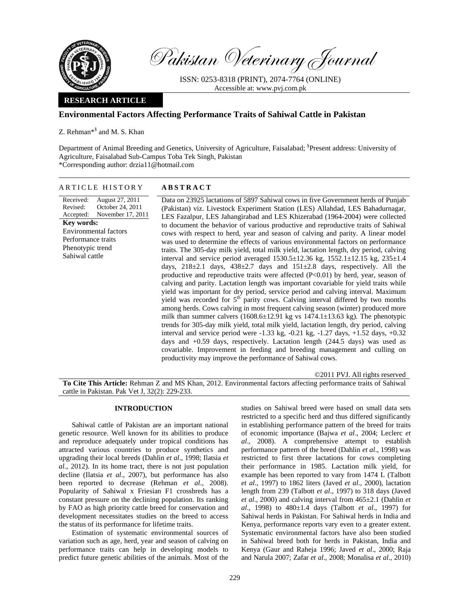

Pakistan Veterinary Journal

ISSN: 0253-8318 (PRINT), 2074-7764 (ONLINE) Accessible at: www.pvj.com.pk

## **RESEARCH ARTICLE**

# **Environmental Factors Affecting Performance Traits of Sahiwal Cattle in Pakistan**

Z. Rehman\*§ and M. S. Khan

Department of Animal Breeding and Genetics, University of Agriculture, Faisalabad; <sup>§</sup>Present address: University of Agriculture, Faisalabad Sub-Campus Toba Tek Singh, Pakistan \*Corresponding author: drzia11@hotmail.com

## ARTICLE HISTORY **ABSTRACT**

Received: Revised: Accepted: August 27, 2011 October 24, 2011 November 17, 2011 **Key words:**  Environmental factors Performance traits Phenotypic trend Sahiwal cattle

Data on 23925 lactations of 5897 Sahiwal cows in five Government herds of Punjab (Pakistan) viz. Livestock Experiment Station (LES) Allahdad, LES Bahadurnagar, LES Fazalpur, LES Jahangirabad and LES Khizerabad (1964-2004) were collected to document the behavior of various productive and reproductive traits of Sahiwal cows with respect to herd, year and season of calving and parity. A linear model was used to determine the effects of various environmental factors on performance traits. The 305-day milk yield, total milk yield, lactation length, dry period, calving interval and service period averaged  $1530.5 \pm 12.36$  kg,  $1552.1 \pm 12.15$  kg,  $235 \pm 1.4$ days,  $218\pm2.1$  days,  $438\pm2.7$  days and  $151\pm2.8$  days, respectively. All the productive and reproductive traits were affected (P<0.01) by herd, year, season of calving and parity. Lactation length was important covariable for yield traits while yield was important for dry period, service period and calving interval. Maximum yield was recorded for  $5<sup>th</sup>$  parity cows. Calving interval differed by two months among herds. Cows calving in most frequent calving season (winter) produced more milk than summer calvers  $(1608.6 \pm 12.91$  kg vs  $1474.1 \pm 13.63$  kg). The phenotypic trends for 305-day milk yield, total milk yield, lactation length, dry period, calving interval and service period were -1.33 kg, -0.21 kg, -1.27 days, +1.52 days, +0.32 days and +0.59 days, respectively. Lactation length (244.5 days) was used as covariable. Improvement in feeding and breeding management and culling on productivity may improve the performance of Sahiwal cows.

©2011 PVJ. All rights reserved

**To Cite This Article:** Rehman Z and MS Khan, 2012. Environmental factors affecting performance traits of Sahiwal cattle in Pakistan. Pak Vet J, 32(2): 229-233.

### **INTRODUCTION**

Sahiwal cattle of Pakistan are an important national genetic resource. Well known for its abilities to produce and reproduce adequately under tropical conditions has attracted various countries to produce synthetics and upgrading their local breeds (Dahlin *et al*., 1998; Ilatsia *et al.*, 2012). In its home tract, there is not just population decline (Ilatsia *et al*., 2007), but performance has also been reported to decrease (Rehman *et al*., 2008). Popularity of Sahiwal x Friesian F1 crossbreds has a constant pressure on the declining population. Its ranking by FAO as high priority cattle breed for conservation and development necessitates studies on the breed to access the status of its performance for lifetime traits.

Estimation of systematic environmental sources of variation such as age, herd, year and season of calving on performance traits can help in developing models to predict future genetic abilities of the animals. Most of the

studies on Sahiwal breed were based on small data sets restricted to a specific herd and thus differed significantly in establishing performance pattern of the breed for traits of economic importance (Bajwa *et al*., 2004; Leclerc *et al*., 2008). A comprehensive attempt to establish performance pattern of the breed (Dahlin *et al*., 1998) was restricted to first three lactations for cows completing their performance in 1985. Lactation milk yield, for example has been reported to vary from 1474 L (Talbott *et al*., 1997) to 1862 liters (Javed *et al*., 2000), lactation length from 239 (Talbott *et al*., 1997) to 318 days (Javed *et al*., 2000) and calving interval from 465±2.1 (Dahlin *et al*., 1998) to 480±1.4 days (Talbott *et al*., 1997) for Sahiwal herds in Pakistan. For Sahiwal herds in India and Kenya, performance reports vary even to a greater extent. Systematic environmental factors have also been studied in Sahiwal breed both for herds in Pakistan, India and Kenya (Gaur and Raheja 1996; Javed *et al*., 2000; Raja and Narula 2007; Zafar *et al*., 2008; Monalisa *et al*., 2010)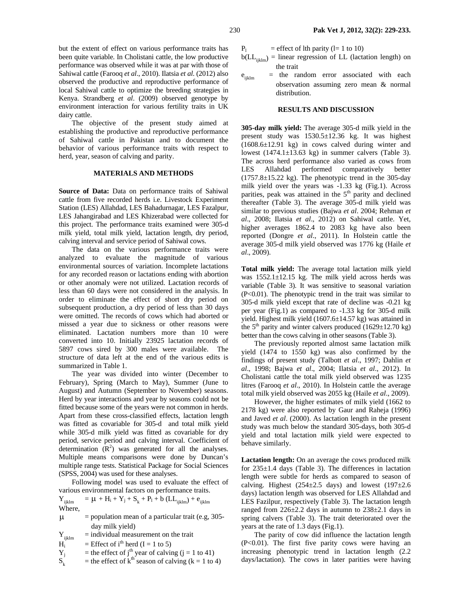but the extent of effect on various performance traits has been quite variable. In Cholistani cattle, the low productive performance was observed while it was at par with those of Sahiwal cattle (Farooq *et al*., 2010). Ilatsia *et al.* (2012) also observed the productive and reproductive performance of local Sahiwal cattle to optimize the breeding strategies in Kenya. Strandberg *et al*. (2009) observed genotype by environment interaction for various fertility traits in UK dairy cattle.

The objective of the present study aimed at establishing the productive and reproductive performance of Sahiwal cattle in Pakistan and to document the behavior of various performance traits with respect to herd, year, season of calving and parity.

# **MATERIALS AND METHODS**

**Source of Data:** Data on performance traits of Sahiwal cattle from five recorded herds i.e. Livestock Experiment Station (LES) Allahdad, LES Bahadurnagar, LES Fazalpur, LES Jahangirabad and LES Khizerabad were collected for this project. The performance traits examined were 305-d milk yield, total milk yield, lactation length, dry period, calving interval and service period of Sahiwal cows.

The data on the various performance traits were analyzed to evaluate the magnitude of various environmental sources of variation. Incomplete lactations for any recorded reason or lactations ending with abortion or other anomaly were not utilized. Lactation records of less than 60 days were not considered in the analysis. In order to eliminate the effect of short dry period on subsequent production, a dry period of less than 30 days were omitted. The records of cows which had aborted or missed a year due to sickness or other reasons were eliminated. Lactation numbers more than 10 were converted into 10. Initially 23925 lactation records of 5897 cows sired by 300 males were available. The structure of data left at the end of the various edits is summarized in Table 1.

The year was divided into winter (December to February), Spring (March to May), Summer (June to August) and Autumn (September to November) seasons. Herd by year interactions and year by seasons could not be fitted because some of the years were not common in herds. Apart from these cross-classified effects, lactation length was fitted as covariable for 305-d and total milk yield while 305-d milk yield was fitted as covariable for dry period, service period and calving interval. Coefficient of determination  $(R^2)$  was generated for all the analyses. Multiple means comparisons were done by Duncan's multiple range tests. Statistical Package for Social Sciences (SPSS, 2004) was used for these analyses.

Following model was used to evaluate the effect of various environmental factors on performance traits.

$$
Y_{ijklm} = \mu + H_i + Y_j + S_k + P_l + b \left( LL_{ijklm} \right) + e_{ijklm}
$$
  
Where,

- $\mu$  = population mean of a particular trait (e.g, 305day milk yield)
- $Y_{ijklm}$  = individual measurement on the trait<br>  $H_i$  = Effect of i<sup>th</sup> herd (I = 1 to 5)
- = Effect of i<sup>th</sup> herd (I = 1 to 5)
- = the effect of j<sup>th</sup> year of calving (j = 1 to 41)  $\overrightarrow{Y_j}$ <br> $S_k$
- = the effect of  $k<sup>th</sup>$  season of calving ( $k = 1$  to 4)

 $P_1$  = effect of lth parity (l= 1 to 10)

- $b(LL<sub>iklm</sub>)$  = linear regression of LL (lactation length) on the trait
- $e<sub>iiklm</sub>$  = the random error associated with each observation assuming zero mean & normal distribution.

### **RESULTS AND DISCUSSION**

**305-day milk yield:** The average 305-d milk yield in the present study was 1530.5±12.36 kg. It was highest (1608.6±12.91 kg) in cows calved during winter and lowest  $(1474.1 \pm 13.63 \text{ kg})$  in summer calvers (Table 3). The across herd performance also varied as cows from LES Allahdad performed comparatively better  $(1757.8\pm15.22 \text{ kg})$ . The phenotypic trend in the 305-day milk yield over the years was -1.33 kg (Fig.1). Across parities, peak was attained in the 5<sup>th</sup> parity and declined thereafter (Table 3). The average 305-d milk yield was similar to previous studies (Bajwa *et al*. 2004; Rehman *et al*., 2008; Ilatsia *et al*., 2012) on Sahiwal cattle. Yet, higher averages 1862.4 to 2083 kg have also been reported (Dongre *et al*., 2011). In Holstein cattle the average 305-d milk yield observed was 1776 kg (Haile *et al*., 2009).

**Total milk yield:** The average total lactation milk yield was 1552.1±12.15 kg. The milk yield across herds was variable (Table 3). It was sensitive to seasonal variation (P<0.01). The phenotypic trend in the trait was similar to 305-d milk yield except that rate of decline was -0.21 kg per year (Fig.1) as compared to -1.33 kg for 305-d milk yield. Highest milk yield (1607.6±14.57 kg) was attained in the 5<sup>th</sup> parity and winter calvers produced (1629 $\pm$ 12.70 kg) better than the cows calving in other seasons (Table 3).

The previously reported almost same lactation milk yield (1474 to 1550 kg) was also confirmed by the findings of present study (Talbott *et al*., 1997; Dahlin *et al*., 1998; Bajwa *et al*., 2004; Ilatsia *et al*., 2012). In Cholistani cattle the total milk yield observed was 1235 litres (Farooq *et al*., 2010). In Holstein cattle the average total milk yield observed was 2055 kg (Haile *et al*., 2009).

However, the higher estimates of milk yield (1662 to 2178 kg) were also reported by Gaur and Raheja (1996) and Javed *et al*. (2000). As lactation length in the present study was much below the standard 305-days, both 305-d yield and total lactation milk yield were expected to behave similarly.

**Lactation length:** On an average the cows produced milk for  $235\pm1.4$  days (Table 3). The differences in lactation length were subtle for herds as compared to season of calving. Highest  $(254\pm 2.5$  days) and lowest  $(197\pm 2.6$ days) lactation length was observed for LES Allahdad and LES Fazilpur, respectively (Table 3). The lactation length ranged from  $226 \pm 2.2$  days in autumn to  $238 \pm 2.1$  days in spring calvers (Table 3). The trait deteriorated over the years at the rate of 1.3 days (Fig.1).

The parity of cow did influence the lactation length (P<0.01). The first five parity cows were having an increasing phenotypic trend in lactation length (2.2 days/lactation). The cows in later parities were having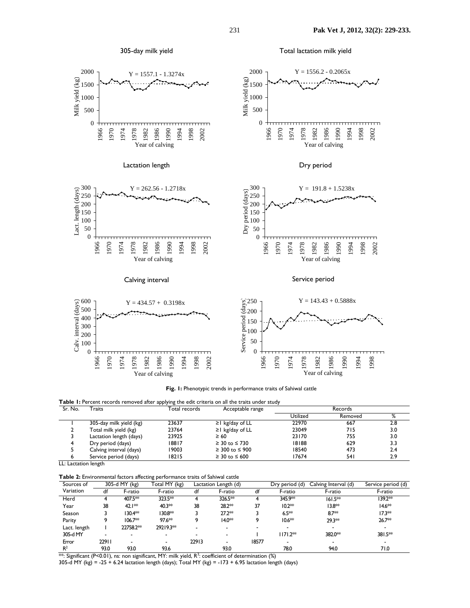Total lactation milk yield







**Table 1:** Percent records removed after applying the edit criteria on all the traits under study<br>
Total records **Contable range** Sr. No. Traits **The Community Total records** Acceptable range **Records** Records

| <u>JI.IV</u> . | .                       | <b>U UGI I CLUI US</b> | <b>ACCEPTADIE TAILEE</b> | ו שכנטו ש |         |     |
|----------------|-------------------------|------------------------|--------------------------|-----------|---------|-----|
|                |                         |                        |                          | Utilized  | Removed | %   |
|                | 305-day milk yield (kg) | 23637                  | $\geq$ kg/day of LL      | 22970     | 667     | 2.8 |
|                | Total milk yield (kg)   | 23764                  | $\geq$ kg/day of LL      | 23049     | 715     | 3.0 |
|                | Lactation length (days) | 23925                  | $\geq 60$                | 23170     | 755     | 3.0 |
|                | Dry period (days)       | 18817                  | $\geq 30$ to $\leq 730$  | 18188     | 629     | 3.3 |
|                | Calving interval (days) | 19003                  | $\geq$ 300 to $\leq$ 900 | 18540     | 473     | 2.4 |
|                | Service period (days)   | 18215                  | $\geq$ 30 to $\leq$ 600  | 17674     | 54 I    | 2.9 |
|                |                         |                        |                          |           |         |     |

LL: Lactation length

**Table 2:** Environmental factors affecting performance traits of Sahiwal cattle

Year of calving

| Sources of     | $305-d$ MY (kg) |                          | Total MY (kg) |                          | Lactation Length (d) |       | Dry period (d) | Calving Interval (d)     | Service period (d) |  |
|----------------|-----------------|--------------------------|---------------|--------------------------|----------------------|-------|----------------|--------------------------|--------------------|--|
| Variation      | df              | F-ratio                  | F-ratio       | df                       | F-ratio              | df    | F-ratio        | F-ratio                  | F-ratio            |  |
| Herd           |                 | 407.5**                  | 323.5**       |                          | 326.5**              |       | 345.9**        | $161.5**$                | 139.2**            |  |
| Year           | 38              | 42.1**                   | 40.3**        | 38                       | 28.2**               | 37    | $10.2**$       | $13.8**$                 | 14.6 <sup>*</sup>  |  |
| Season         |                 | 130.4**                  | 130.8**       |                          | 27.2**               |       | $6.5**$        | $8.7**$                  | $17.3**$           |  |
| Parity         | ۰               | $106.7**$                | 97.6**        |                          | $14.0**$             |       | $10.6**$       | 29.3**                   | 26.7**             |  |
| Lact. length   |                 | 22758.2**                | 29219.3**     | $\overline{\phantom{0}}$ |                      |       |                |                          |                    |  |
| 305-d MY       |                 | $\overline{\phantom{0}}$ |               |                          |                      |       | $1171.2**$     | 382.0**                  | $381.5**$          |  |
| Error          | 22911           | $\overline{\phantom{0}}$ | -             | 22913                    |                      | 18577 |                | $\overline{\phantom{0}}$ |                    |  |
| R <sup>2</sup> | 93.0            | 93.0                     | 93.6          |                          | 93.0                 |       | 78.0           | 94.0                     | 71.0               |  |

 $**$ : Significant (P<0.01), ns: non significant, MY: milk yield, R<sup>2</sup>: coefficient of determination (%)

305-d MY (kg) =  $-25 + 6.24$  lactation length (days); Total MY (kg) =  $-173 + 6.95$  lactation length (days)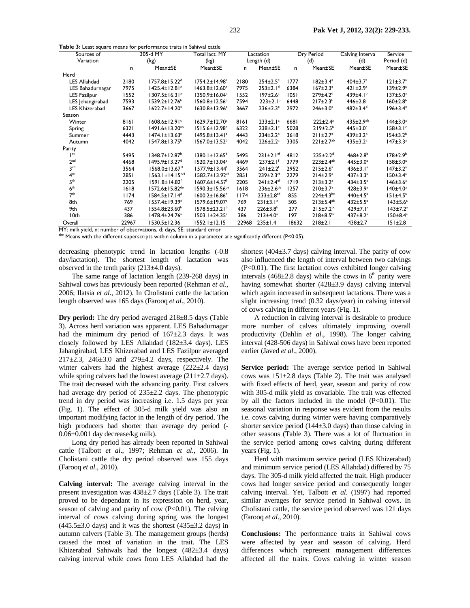**Table 3:** Least square means for performance traits in Sahiwal cattle

| Sources of          | 305-d MY |                                   | Total lact. MY                   | Lactation  |                             | Dry Period |                             | Calving Interva            | Service                    |
|---------------------|----------|-----------------------------------|----------------------------------|------------|-----------------------------|------------|-----------------------------|----------------------------|----------------------------|
| Variation           | (kg)     |                                   | (kg)                             | Length (d) |                             | (d)        |                             | (d)                        | Period (d)                 |
|                     | n        | Mean±SE                           | Mean±SE                          | n          | Mean±SE                     | n          | Mean±SE                     | Mean±SE                    | Mean±SE                    |
| Herd                |          |                                   |                                  |            |                             |            |                             |                            |                            |
| <b>LES Allahdad</b> | 2180     | $1757.8 \pm 15.22$ <sup>d</sup>   | 1754.2±14.98 <sup>e</sup>        | 2180       | $254 \pm 2.5$ <sup>e</sup>  | 1777       | $182 \pm 3.4^a$             | $404 \pm 3.7^a$            | $121 \pm 3.7^a$            |
| LES Bahadurnagar    | 7975     | $1425.4 \pm 12.81$ <sup>c</sup>   | $1463.8 \pm 12.60$ <sup>d</sup>  | 7975       | $253 \pm 2.1$ <sup>d</sup>  | 6384       | $167 \pm 2.3^a$             | $421 \pm 2.9^a$            | $139 \pm 2.9^{\circ}$      |
| <b>LES Fazilpur</b> | 1552     | $1307.5 \pm 16.31^a$              | 1350.9±16.04 <sup>a</sup>        | 1552       | $197 \pm 2.6^a$             | 1051       | $279 \pm 4.2$ <sup>d</sup>  | 439 $\pm$ 4.1 <sup>b</sup> | $137 \pm 5.0^a$            |
| LES Jehangirabad    | 7593     | 1539.2±12.76 <sup>b</sup>         | $1560.8 \pm 12.56^{\circ}$       | 7594       | $223 \pm 2.1^b$             | 6448       | $217 \pm 2.3^b$             | $446\pm2.8$                | $160 \pm 2.8$ <sup>b</sup> |
| LES Khizerabad      | 3667     | 1622.7±14.20c                     | 1630.8±13.96c                    | 3667       | $236 \pm 2.3$ °             | 2972       | $246 \pm 3.0^{\circ}$       | $482 \pm 3.4^{\circ}$      | $196 \pm 3.4$ <sup>c</sup> |
| Season              |          |                                   |                                  |            |                             |            |                             |                            |                            |
| Winter              | 8161     | $1608.6 \pm 12.91$ <sup>c</sup>   | 1629.7±12.70°                    | 8161       | $233 \pm 2.1$ °             | 6681       | $222 \pm 2.4^a$             | $435 \pm 2.9^{ab}$         | $144 \pm 3.0^a$            |
| Spring              | 6321     | $1491.6 \pm 13.20^{ab}$           | $1515.6 \pm 12.98^{\circ}$       | 6322       | $238 \pm 2.1$ <sup>c</sup>  | 5028       | 219±2.5 <sup>b</sup>        | $445 \pm 3.0^{\circ}$      | $158 \pm 3.1$ <sup>c</sup> |
| Summer              | 4443     | $1474.1 \pm 13.63^a$              | $1495.8 \pm 13.41^a$             | 4443       | $234 \pm 2.2^b$             | 3618       | $211 \pm 2.7^{\circ}$       | $439 \pm 3.2^b$            | $154 \pm 3.2^b$            |
| Autumn              | 4042     | $1547.8 \pm 13.75^{\circ}$        | $1567.0 \pm 13.52^b$             | 4042       | $226 \pm 2.2^a$             | 3305       | $221 \pm 2.7$ <sup>ab</sup> | $435 \pm 3.2^a$            | $147 \pm 3.3^a$            |
| Parity              |          |                                   |                                  |            |                             |            |                             |                            |                            |
| st                  | 5495     | 1348.7±12.87 <sup>b</sup>         | $1380.1 \pm 12.65^{\circ}$       | 5495       | $231 \pm 2.1$ ef            | 4812       | $235 \pm 2.2$ <sup>d</sup>  | $468 \pm 2.8$ <sup>b</sup> | 178±2.9 <sup>b</sup>       |
| 2 <sup>nd</sup>     | 4468     | 1495.9±13.27 <sup>d</sup>         | $1520.7 \pm 13.04^d$             | 4469       | $237 \pm 2.1$ <sup>f</sup>  | 3779       | $223 \pm 2.4^{ab}$          | $445 \pm 3.0^a$            | $158 \pm 3.0^a$            |
| 3 <sup>rd</sup>     | 3564     | $1568.0 \pm 13.67$ <sup>ef</sup>  | $1577.9 \pm 13.44^{\circ}$       | 3564       | $241 \pm 2.2$ <sup>f</sup>  | 2952       | $215 \pm 2.6^a$             | $436 \pm 3.1^a$            | $147 \pm 3.2^a$            |
| 4 <sup>th</sup>     | 2851     | $1563.1 \pm 14.15$ <sup>def</sup> | 1582.7±13.92 <sup>ef</sup>       | 2851       | $239 \pm 2.3$ ef            | 2279       | $214 \pm 2.9^a$             | $437 \pm 3.3^a$            | $150 \pm 3.4^a$            |
| 5 <sup>th</sup>     | 2205     | 1591.8±14.82 <sup>f</sup>         | 1607.6±14.57 <sup>f</sup>        | 2205       | $241 \pm 2.4$ <sup>ef</sup> | 1719       | $213 \pm 3.2^a$             | $434 \pm 3.5^a$            | $146 \pm 3.6^a$            |
| 6 <sup>th</sup>     | 1618     | $1572.6 \pm 15.82$ <sup>de</sup>  | $1590.3 \pm 15.56$ <sup>de</sup> | 1618       | $236 \pm 2.6$ <sup>de</sup> | 1257       | 210±3.7 <sup>a</sup>        | $428 \pm 3.9^{\circ}$      | $140±4.0^a$                |
| 7 <sup>th</sup>     | 1174     | $1584.5 \pm 17.14^d$              | $1600.2 \pm 16.86$ <sup>d</sup>  | 1174       | $233 \pm 2.8$ <sup>cd</sup> | 855        | $224 \pm 4.3^{bc}$          | 440±4.5 <sup>a</sup>       | $151 \pm 4.5^a$            |
| 8th                 | 769      | 1557.4±19.39c                     | 1579.6±19.07c                    | 769        | $231 \pm 3.1$ °             | 505        | $213±5.4^{ab}$              | $432 \pm 5.5^a$            | $143 \pm 5.6^a$            |
| 9th                 | 437      | $1554.8 \pm 23.60^{\circ}$        | $1578.5 \pm 23.21^{\circ}$       | 437        | $226 \pm 3.8^b$             | 277        | $215 \pm 7.2^{bc}$          | $429 \pm 7.1$ <sup>a</sup> | $143 \pm 7.2^a$            |
| I Oth               | 386      | 1478.4±24.76 <sup>a</sup>         | $1503.1 \pm 24.35^a$             | 386        | $213±4.0^a$                 | 197        | $218 \pm 8.5^{bc}$          | $437 \pm 8.2^a$            | $150 \pm 8.4^a$            |
| Overall             | 22967    | $1530.5 \pm 12.36$                | $1552.1 \pm 12.15$               | 22968      | $235 \pm 1.4$               | 18632      | $218+2.1$                   | $438 \pm 2.7$              | $151 \pm 2.8$              |

MY: milk yield, n: number of observations, d: days, SE: standard error

abc Means with the different superscripts within column in a parameter are significantly different (P<0.05).

decreasing phenotypic trend in lactation lengths (-0.8 day/lactation). The shortest length of lactation was observed in the tenth parity  $(213\pm4.0 \text{ days})$ .

The same range of lactation length (239-268 days) in Sahiwal cows has previously been reported (Rehman *et al*., 2006; Ilatsia *et al*., 2012). In Cholistani cattle the lactation length observed was 165 days (Farooq *et al*., 2010).

**Dry period:** The dry period averaged  $218\pm8.5$  days (Table 3). Across herd variation was apparent. LES Bahadurnagar had the minimum dry period of  $167\pm2.3$  days. It was closely followed by LES Allahdad (182±3.4 days). LES Jahangirabad, LES Khizerabad and LES Fazilpur averaged 217±2.3, 246±3.0 and 279±4.2 days, respectively. The winter calvers had the highest average (222±2.4 days) while spring calvers had the lowest average  $(211\pm 2.7 \text{ days})$ . The trait decreased with the advancing parity. First calvers had average dry period of 235±2.2 days. The phenotypic trend in dry period was increasing i.e. 1.5 days per year (Fig. 1). The effect of 305-d milk yield was also an important modifying factor in the length of dry period. The high producers had shorter than average dry period (- 0.06±0.001 day decrease/kg milk).

Long dry period has already been reported in Sahiwal cattle (Talbott *et al*., 1997; Rehman *et al*., 2006). In Cholistani cattle the dry period observed was 155 days (Farooq *et al*., 2010).

**Calving interval:** The average calving interval in the present investigation was 438±2.7 days (Table 3). The trait proved to be dependant in its expression on herd, year, season of calving and parity of cow  $(P<0.01)$ . The calving interval of cows calving during spring was the longest  $(445.5\pm3.0$  days) and it was the shortest  $(435\pm3.2$  days) in autumn calvers (Table 3). The management groups (herds) caused the most of variation in the trait. The LES Khizerabad Sahiwals had the longest (482±3.4 days) calving interval while cows from LES Allahdad had the shortest (404±3.7 days) calving interval. The parity of cow also influenced the length of interval between two calvings (P<0.01). The first lactation cows exhibited longer calving intervals (468 $\pm$ 2.8 days) while the cows in 6<sup>th</sup> parity were having somewhat shorter (428±3.9 days) calving interval which again increased in subsequent lactations. There was a slight increasing trend (0.32 days/year) in calving interval of cows calving in different years (Fig. 1).

A reduction in calving interval is desirable to produce more number of calves ultimately improving overall productivity (Dahlin *et al*., 1998). The longer calving interval (428-506 days) in Sahiwal cows have been reported earlier (Javed *et al*., 2000).

**Service period:** The average service period in Sahiwal cows was 151±2.8 days (Table 2). The trait was analysed with fixed effects of herd, year, season and parity of cow with 305-d milk yield as covariable. The trait was effected by all the factors included in the model  $(P<0.01)$ . The seasonal variation in response was evident from the results i.e. cows calving during winter were having comparatively shorter service period (144 $\pm$ 3.0 days) than those calving in other seasons (Table 3). There was a lot of fluctuation in the service period among cows calving during different years (Fig. 1).

Herd with maximum service period (LES Khizerabad) and minimum service period (LES Allahdad) differed by 75 days. The 305-d milk yield affected the trait. High producer cows had longer service period and consequently longer calving interval. Yet, Talbott *et al*. (1997) had reported similar averages for service period in Sahiwal cows. In Cholistani cattle, the service period observed was 121 days (Farooq *et al*., 2010).

**Conclusions:** The performance traits in Sahiwal cows were affected by year and season of calving. Herd differences which represent management differences affected all the traits. Cows calving in winter season